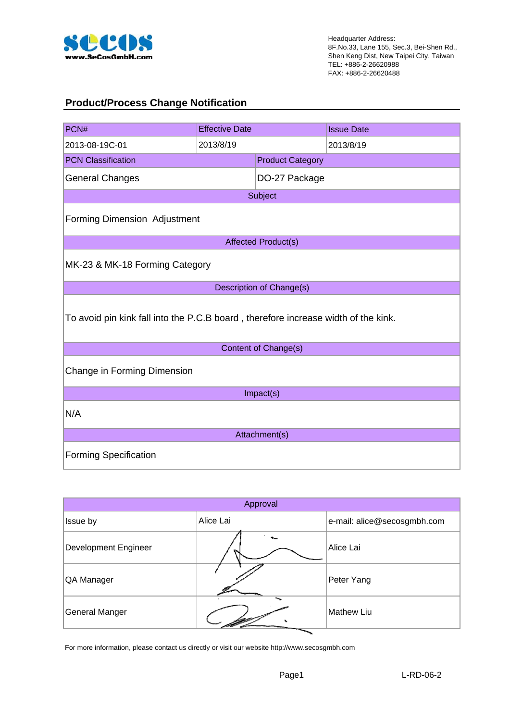

## **Product/Process Change Notification**

| PCN#                                                                               | <b>Effective Date</b> |                         | <b>Issue Date</b> |  |
|------------------------------------------------------------------------------------|-----------------------|-------------------------|-------------------|--|
| 2013-08-19C-01                                                                     | 2013/8/19             |                         | 2013/8/19         |  |
| <b>PCN Classification</b>                                                          |                       | <b>Product Category</b> |                   |  |
| <b>General Changes</b>                                                             |                       | DO-27 Package           |                   |  |
| Subject                                                                            |                       |                         |                   |  |
| <b>Forming Dimension Adjustment</b>                                                |                       |                         |                   |  |
| <b>Affected Product(s)</b>                                                         |                       |                         |                   |  |
| MK-23 & MK-18 Forming Category                                                     |                       |                         |                   |  |
| Description of Change(s)                                                           |                       |                         |                   |  |
| To avoid pin kink fall into the P.C.B board, therefore increase width of the kink. |                       |                         |                   |  |
| Content of Change(s)                                                               |                       |                         |                   |  |
| Change in Forming Dimension                                                        |                       |                         |                   |  |
| Impact(s)                                                                          |                       |                         |                   |  |
| N/A                                                                                |                       |                         |                   |  |
| Attachment(s)                                                                      |                       |                         |                   |  |
| <b>Forming Specification</b>                                                       |                       |                         |                   |  |

| Approval                    |           |                             |  |
|-----------------------------|-----------|-----------------------------|--|
| Issue by                    | Alice Lai | e-mail: alice@secosgmbh.com |  |
| <b>Development Engineer</b> |           | Alice Lai                   |  |
| QA Manager                  |           | Peter Yang                  |  |
| <b>General Manger</b>       |           | <b>Mathew Liu</b>           |  |

For more information, please contact us directly or visit our website http://www.secosgmbh.com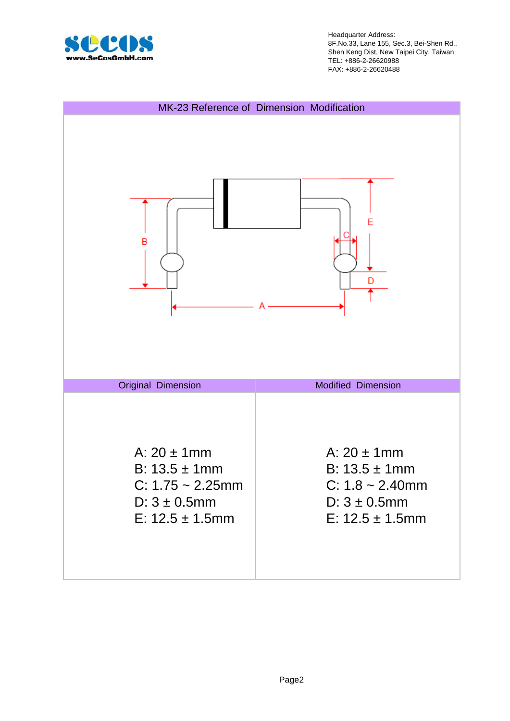

Headquarter Address: 8F.No.33, Lane 155, Sec.3, Bei-Shen Rd., Shen Keng Dist, New Taipei City, Taiwan TEL: +886-2-26620988 FAX: +886-2-26620488

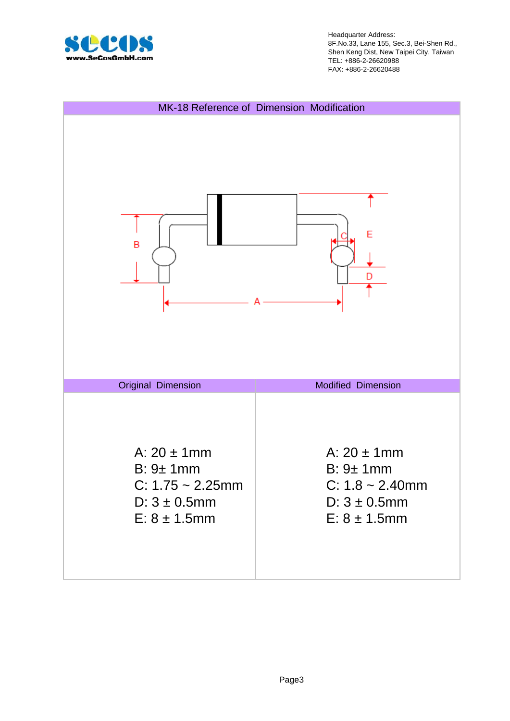

Headquarter Address: 8F.No.33, Lane 155, Sec.3, Bei-Shen Rd., Shen Keng Dist, New Taipei City, Taiwan TEL: +886-2-26620988 FAX: +886-2-26620488

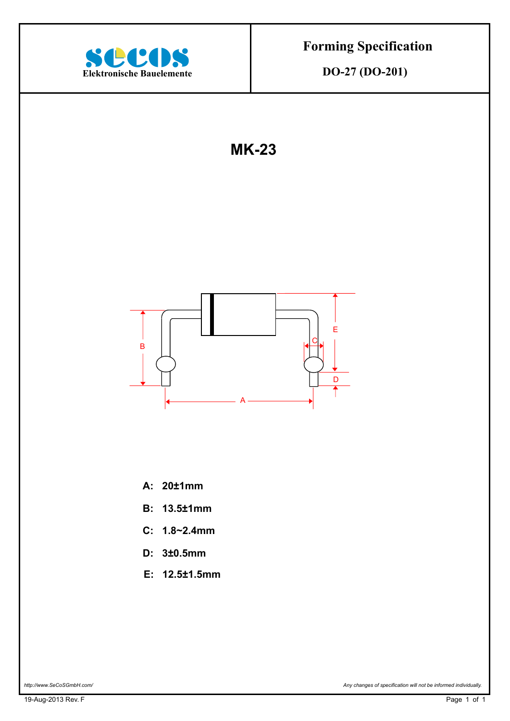

**DO-27 (DO-201)** 

**MK-23**



- **A: 20±1mm**
- **B: 13.5±1mm**
- **C: 1.8~2.4mm**
- **D: 3±0.5mm**
- **E: 12.5±1.5mm**